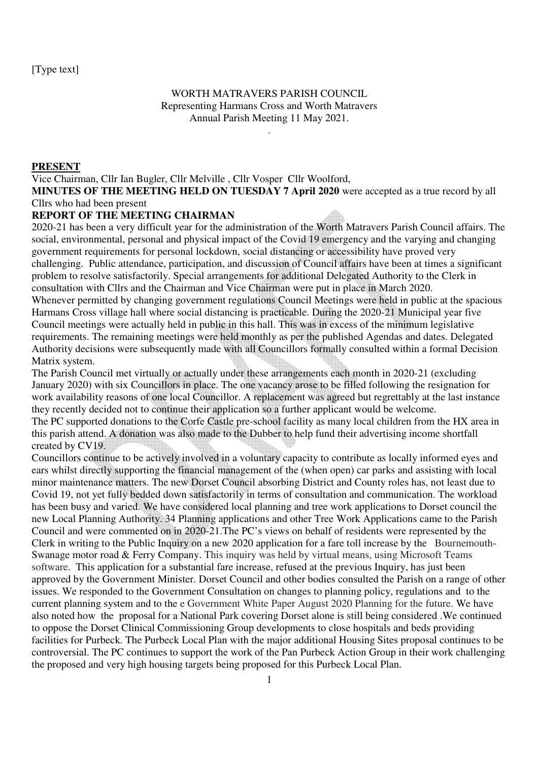## WORTH MATRAVERS PARISH COUNCIL Representing Harmans Cross and Worth Matravers Annual Parish Meeting 11 May 2021.

.

#### **PRESENT**

Vice Chairman, Cllr Ian Bugler, Cllr Melville , Cllr Vosper Cllr Woolford, **MINUTES OF THE MEETING HELD ON TUESDAY 7 April 2020** were accepted as a true record by all Cllrs who had been present

# **REPORT OF THE MEETING CHAIRMAN**

2020-21 has been a very difficult year for the administration of the Worth Matravers Parish Council affairs. The social, environmental, personal and physical impact of the Covid 19 emergency and the varying and changing government requirements for personal lockdown, social distancing or accessibility have proved very challenging. Public attendance, participation, and discussion of Council affairs have been at times a significant problem to resolve satisfactorily. Special arrangements for additional Delegated Authority to the Clerk in consultation with Cllrs and the Chairman and Vice Chairman were put in place in March 2020. Whenever permitted by changing government regulations Council Meetings were held in public at the spacious Harmans Cross village hall where social distancing is practicable. During the 2020-21 Municipal year five Council meetings were actually held in public in this hall. This was in excess of the minimum legislative requirements. The remaining meetings were held monthly as per the published Agendas and dates. Delegated Authority decisions were subsequently made with all Councillors formally consulted within a formal Decision Matrix system.

The Parish Council met virtually or actually under these arrangements each month in 2020-21 (excluding January 2020) with six Councillors in place. The one vacancy arose to be filled following the resignation for work availability reasons of one local Councillor. A replacement was agreed but regrettably at the last instance they recently decided not to continue their application so a further applicant would be welcome. The PC supported donations to the Corfe Castle pre-school facility as many local children from the HX area in this parish attend. A donation was also made to the Dubber to help fund their advertising income shortfall created by CV19.

Councillors continue to be actively involved in a voluntary capacity to contribute as locally informed eyes and ears whilst directly supporting the financial management of the (when open) car parks and assisting with local minor maintenance matters. The new Dorset Council absorbing District and County roles has, not least due to Covid 19, not yet fully bedded down satisfactorily in terms of consultation and communication. The workload has been busy and varied. We have considered local planning and tree work applications to Dorset council the new Local Planning Authority. 34 Planning applications and other Tree Work Applications came to the Parish Council and were commented on in 2020-21.The PC's views on behalf of residents were represented by the Clerk in writing to the Public Inquiry on a new 2020 application for a fare toll increase by the Bournemouth-Swanage motor road & Ferry Company. This inquiry was held by virtual means, using Microsoft Teams software. This application for a substantial fare increase, refused at the previous Inquiry, has just been approved by the Government Minister. Dorset Council and other bodies consulted the Parish on a range of other issues. We responded to the Government Consultation on changes to planning policy, regulations and to the current planning system and to the e Government White Paper August 2020 Planning for the future. We have also noted how the proposal for a National Park covering Dorset alone is still being considered .We continued to oppose the Dorset Clinical Commissioning Group developments to close hospitals and beds providing facilities for Purbeck. The Purbeck Local Plan with the major additional Housing Sites proposal continues to be controversial. The PC continues to support the work of the Pan Purbeck Action Group in their work challenging the proposed and very high housing targets being proposed for this Purbeck Local Plan.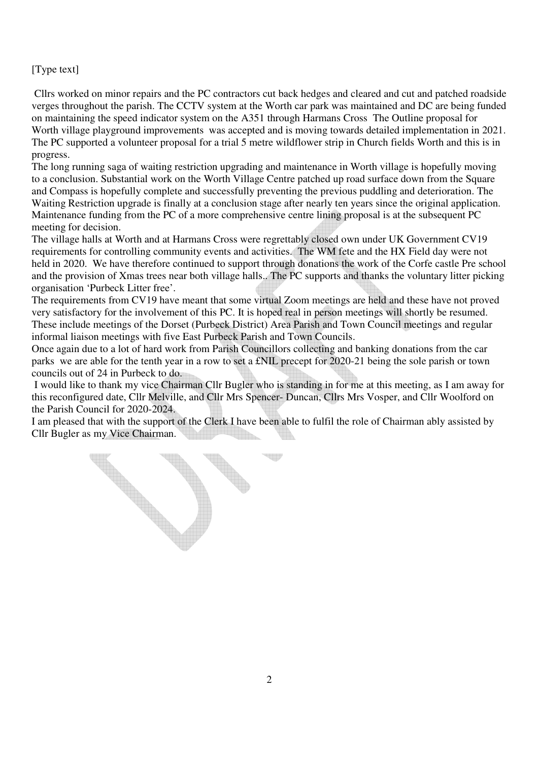## [Type text]

 Cllrs worked on minor repairs and the PC contractors cut back hedges and cleared and cut and patched roadside verges throughout the parish. The CCTV system at the Worth car park was maintained and DC are being funded on maintaining the speed indicator system on the A351 through Harmans Cross The Outline proposal for Worth village playground improvements was accepted and is moving towards detailed implementation in 2021. The PC supported a volunteer proposal for a trial 5 metre wildflower strip in Church fields Worth and this is in progress.

The long running saga of waiting restriction upgrading and maintenance in Worth village is hopefully moving to a conclusion. Substantial work on the Worth Village Centre patched up road surface down from the Square and Compass is hopefully complete and successfully preventing the previous puddling and deterioration. The Waiting Restriction upgrade is finally at a conclusion stage after nearly ten years since the original application. Maintenance funding from the PC of a more comprehensive centre lining proposal is at the subsequent PC meeting for decision.

The village halls at Worth and at Harmans Cross were regrettably closed own under UK Government CV19 requirements for controlling community events and activities. The WM fete and the HX Field day were not held in 2020. We have therefore continued to support through donations the work of the Corfe castle Pre school and the provision of Xmas trees near both village halls.. The PC supports and thanks the voluntary litter picking organisation 'Purbeck Litter free'.

The requirements from CV19 have meant that some virtual Zoom meetings are held and these have not proved very satisfactory for the involvement of this PC. It is hoped real in person meetings will shortly be resumed. These include meetings of the Dorset (Purbeck District) Area Parish and Town Council meetings and regular informal liaison meetings with five East Purbeck Parish and Town Councils.

Once again due to a lot of hard work from Parish Councillors collecting and banking donations from the car parks we are able for the tenth year in a row to set a £NIL precept for 2020-21 being the sole parish or town councils out of 24 in Purbeck to do.

 I would like to thank my vice Chairman Cllr Bugler who is standing in for me at this meeting, as I am away for this reconfigured date, Cllr Melville, and Cllr Mrs Spencer- Duncan, Cllrs Mrs Vosper, and Cllr Woolford on the Parish Council for 2020-2024.

I am pleased that with the support of the Clerk I have been able to fulfil the role of Chairman ably assisted by Cllr Bugler as my Vice Chairman.